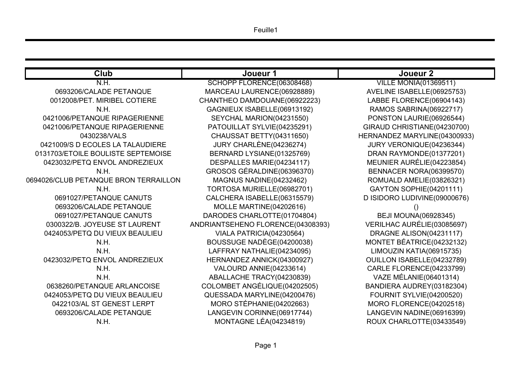Feuille1

 $ONIA(01369511)$ 6885/GABELLE(06925753) 0RENCE(06904143) ABRINA (06922717) LAURIE(06926544) RISTIANE(04230700) MARYLINE(04300933) 0N IQUE(04236344)  $(MONDE(01377201))$ AURÉLIE(04223854) R. NORA(06399570) AMELIE(03826321) SOPHIE(04201111) LUDIVINE(09000676) 0UNA(06928345) AURÉLIE (03085697) ALISON(04231117) ÉATRICE(04232132) KATIA(06915735) SABELLE(04232789) ORENCE(04233799)  $\operatorname{\acute{E}}$ LANIE(06401314) AUDREY(03182304) SYLVIE(04200520) 0RENCE(04202518) NADINE(06916399) RLOTTE(03433549)

| <b>Club</b>                           | Joueur 1                          | Joueur <sub>2</sub>       |
|---------------------------------------|-----------------------------------|---------------------------|
| N.H.                                  | SCHOPP FLORENCE(06308468)         | <b>VILLE MONIA(013</b>    |
| 0693206/CALADE PETANQUE               | MARCEAU LAURENCE(06928889)        | <b>AVELINE ISABELLE(</b>  |
| 0012008/PET. MIRIBEL COTIERE          | CHANTHEO DAMDOUANE(06922223)      | <b>LABBE FLORENCE(I</b>   |
| N.H.                                  | GAGNIEUX ISABELLE(06913192)       | <b>RAMOS SABRINA(0</b>    |
| 0421006/PETANQUE RIPAGERIENNE         | SEYCHAL MARION(04231550)          | <b>PONSTON LAURIE(0)</b>  |
| 0421006/PETANQUE RIPAGERIENNE         | PATOUILLAT SYLVIE(04235291)       | <b>GIRAUD CHRISTIANE</b>  |
| 0430238/VALS                          | CHAUSSAT BETTY(04311650)          | <b>HERNANDEZ MARYLIN</b>  |
| 0421009/S D ECOLES LA TALAUDIERE      | JURY CHARLÈNE(04236274)           | <b>JURY VERONIQUE(I)</b>  |
| 0131703/ETOILE BOULISTE SEPTEMOISE    | BERNARD LYSIANE(01325769)         | <b>DRAN RAYMONDE(0</b>    |
| 0423032/PETQ ENVOL ANDREZIEUX         | DESPALLES MARIE(04234117)         | <b>MEUNIER AURÉLIE(</b>   |
| N.H.                                  | GROSOS GÉRALDINE(06396370)        | <b>BENNACER NORA(0</b>    |
| 0694026/CLUB PETANQUE BRON TERRAILLON | MAGNUS NADINE(04232462)           | <b>ROMUALD AMELIE(I)</b>  |
| N.H.                                  | TORTOSA MURIELLE(06982701)        | <b>GAYTON SOPHIE(0</b>    |
| 0691027/PETANQUE CANUTS               | CALCHERA ISABELLE(06315579)       | <b>D ISIDORO LUDIVINE</b> |
| 0693206/CALADE PETANQUE               | MOLLE MARTINE(04202616)           |                           |
| 0691027/PETANQUE CANUTS               | DARODES CHARLOTTE(01704804)       | <b>BEJI MOUNA(069</b>     |
| 0300322/B. JOYEUSE ST LAURENT         | ANDRIANTSEHENO FLORENCE(04308393) | <b>VERILHAC AURÉLIE(</b>  |
| 0424053/PETQ DU VIEUX BEAULIEU        | VIALA PATRICIA(04230564)          | <b>DRAGNE ALISON(0</b>    |
| N.H.                                  | BOUSSUGE NADÈGE(04200038)         | <b>MONTET BÉATRICE(</b>   |
| N.H.                                  | LAFFRAY NATHALIE(04234095)        | <b>LIMOUZIN KATIA(0)</b>  |
| 0423032/PETQ ENVOL ANDREZIEUX         | HERNANDEZ ANNICK(04300927)        | <b>OUILLON ISABELLE(</b>  |
| N.H.                                  | VALOURD ANNIE(04233614)           | <b>CARLE FLORENCE(I</b>   |
| N.H.                                  | ABALLACHE TRACY(04230839)         | VAZE MÉLANIE(06           |
| 0638260/PETANQUE ARLANCOISE           | COLOMBET ANGÉLIQUE(04202505)      | <b>BANDIERA AUDREY</b>    |
| 0424053/PETQ DU VIEUX BEAULIEU        | QUESSADA MARYLINE(04200476)       | <b>FOURNIT SYLVIE(0</b>   |
| 0422103/AL ST GENEST LERPT            | MORO STÉPHANIE(04202663)          | <b>MORO FLORENCE(0</b>    |
| 0693206/CALADE PETANQUE               | LANGEVIN CORINNE(06917744)        | <b>LANGEVIN NADINE(</b>   |
| N.H.                                  | MONTAGNE LÉA(04234819)            | <b>ROUX CHARLOTTE(</b>    |